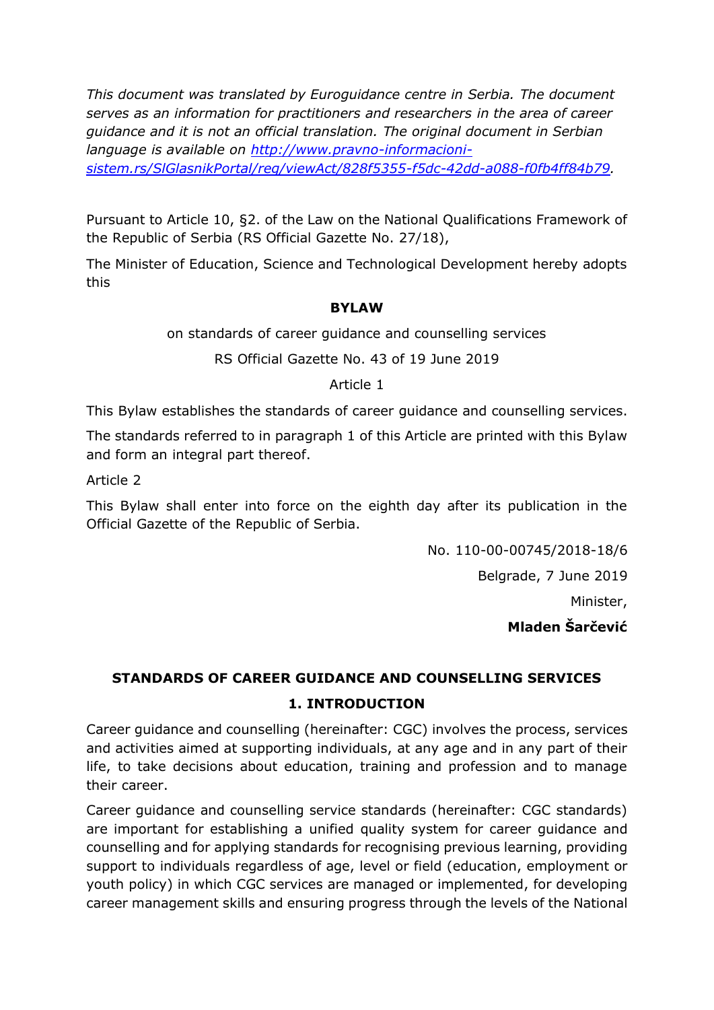*This document was translated by Euroguidance centre in Serbia. The document serves as an information for practitioners and researchers in the area of career guidance and it is not an official translation. The original document in Serbian language is available on [http://www.pravno-informacioni](http://www.pravno-informacioni-sistem.rs/SlGlasnikPortal/reg/viewAct/828f5355-f5dc-42dd-a088-f0fb4ff84b79)[sistem.rs/SlGlasnikPortal/reg/viewAct/828f5355-f5dc-42dd-a088-f0fb4ff84b79.](http://www.pravno-informacioni-sistem.rs/SlGlasnikPortal/reg/viewAct/828f5355-f5dc-42dd-a088-f0fb4ff84b79)* 

Pursuant to Article 10, §2. of the Law on the National Qualifications Framework of the Republic of Serbia (RS Official Gazette No. 27/18),

The Minister of Education, Science and Technological Development hereby adopts this

### **BYLAW**

on standards of career guidance and counselling services

RS Official Gazette No. 43 of 19 June 2019

#### Article 1

This Bylaw establishes the standards of career guidance and counselling services.

The standards referred to in paragraph 1 of this Article are printed with this Bylaw and form an integral part thereof.

Article 2

This Bylaw shall enter into force on the eighth day after its publication in the Official Gazette of the Republic of Serbia.

No. 110-00-00745/2018-18/6

Belgrade, 7 June 2019

Minister,

**Mladen Šarčević**

# **STANDARDS OF CAREER GUIDANCE AND COUNSELLING SERVICES 1. INTRODUCTION**

Career guidance and counselling (hereinafter: CGC) involves the process, services and activities aimed at supporting individuals, at any age and in any part of their life, to take decisions about education, training and profession and to manage their career.

Career guidance and counselling service standards (hereinafter: CGC standards) are important for establishing a unified quality system for career guidance and counselling and for applying standards for recognising previous learning, providing support to individuals regardless of age, level or field (education, employment or youth policy) in which CGC services are managed or implemented, for developing career management skills and ensuring progress through the levels of the National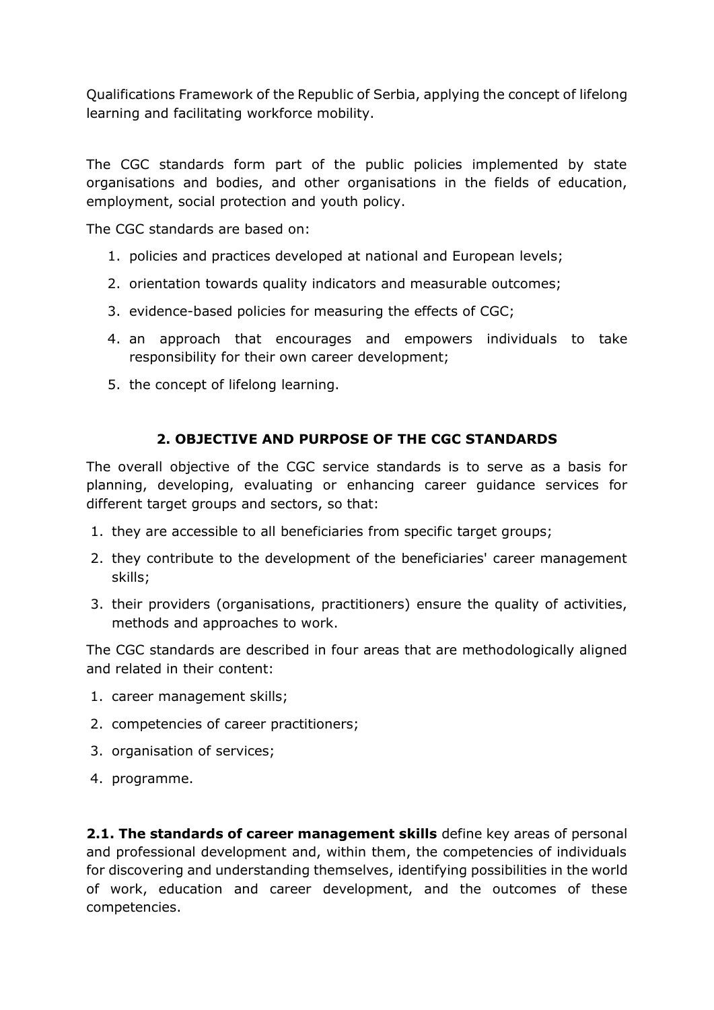Qualifications Framework of the Republic of Serbia, applying the concept of lifelong learning and facilitating workforce mobility.

The CGC standards form part of the public policies implemented by state organisations and bodies, and other organisations in the fields of education, employment, social protection and youth policy.

The CGC standards are based on:

- 1. policies and practices developed at national and European levels;
- 2. orientation towards quality indicators and measurable outcomes;
- 3. evidence-based policies for measuring the effects of CGC;
- 4. an approach that encourages and empowers individuals to take responsibility for their own career development;
- 5. the concept of lifelong learning.

## **2. OBJECTIVE AND PURPOSE OF THE CGC STANDARDS**

The overall objective of the CGC service standards is to serve as a basis for planning, developing, evaluating or enhancing career guidance services for different target groups and sectors, so that:

- 1. they are accessible to all beneficiaries from specific target groups;
- 2. they contribute to the development of the beneficiaries' career management skills;
- 3. their providers (organisations, practitioners) ensure the quality of activities, methods and approaches to work.

The CGC standards are described in four areas that are methodologically aligned and related in their content:

- 1. career management skills;
- 2. competencies of career practitioners;
- 3. organisation of services;
- 4. programme.

**2.1. The standards of career management skills** define key areas of personal and professional development and, within them, the competencies of individuals for discovering and understanding themselves, identifying possibilities in the world of work, education and career development, and the outcomes of these competencies.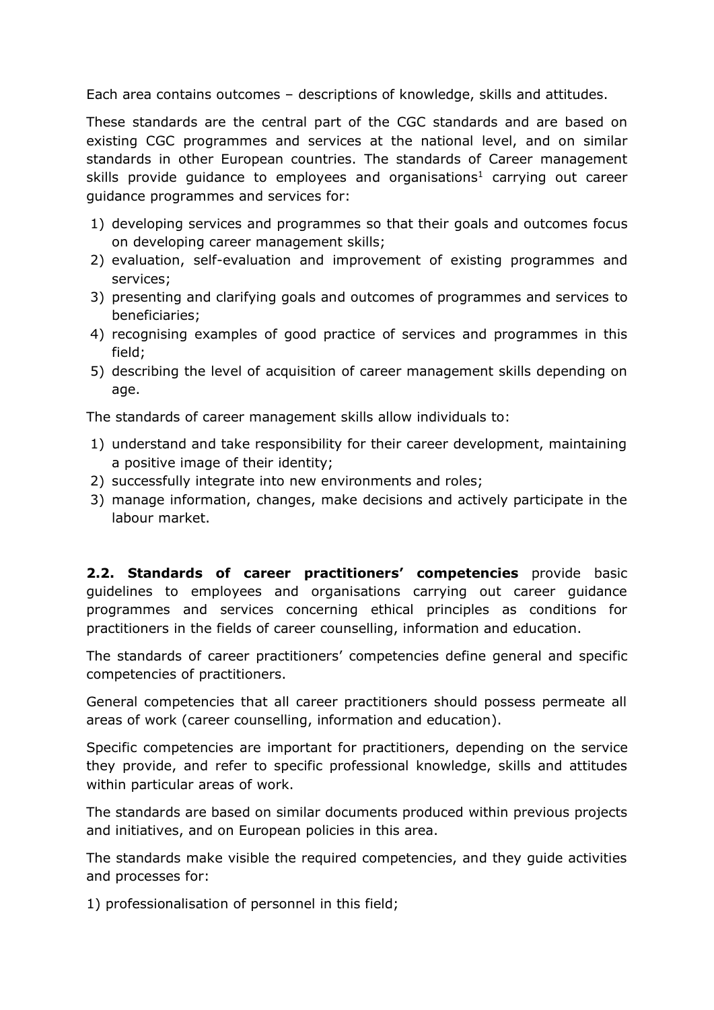Each area contains outcomes – descriptions of knowledge, skills and attitudes.

These standards are the central part of the CGC standards and are based on existing CGC programmes and services at the national level, and on similar standards in other European countries. The standards of Career management skills provide quidance to employees and organisations<sup>1</sup> carrying out career guidance programmes and services for:

- 1) developing services and programmes so that their goals and outcomes focus on developing career management skills;
- 2) evaluation, self-evaluation and improvement of existing programmes and services;
- 3) presenting and clarifying goals and outcomes of programmes and services to beneficiaries;
- 4) recognising examples of good practice of services and programmes in this field;
- 5) describing the level of acquisition of career management skills depending on age.

The standards of career management skills allow individuals to:

- 1) understand and take responsibility for their career development, maintaining a positive image of their identity;
- 2) successfully integrate into new environments and roles;
- 3) manage information, changes, make decisions and actively participate in the labour market.

**2.2. Standards of career practitioners' competencies** provide basic guidelines to employees and organisations carrying out career guidance programmes and services concerning ethical principles as conditions for practitioners in the fields of career counselling, information and education.

The standards of career practitioners' competencies define general and specific competencies of practitioners.

General competencies that all career practitioners should possess permeate all areas of work (career counselling, information and education).

Specific competencies are important for practitioners, depending on the service they provide, and refer to specific professional knowledge, skills and attitudes within particular areas of work.

The standards are based on similar documents produced within previous projects and initiatives, and on European policies in this area.

The standards make visible the required competencies, and they guide activities and processes for:

1) professionalisation of personnel in this field;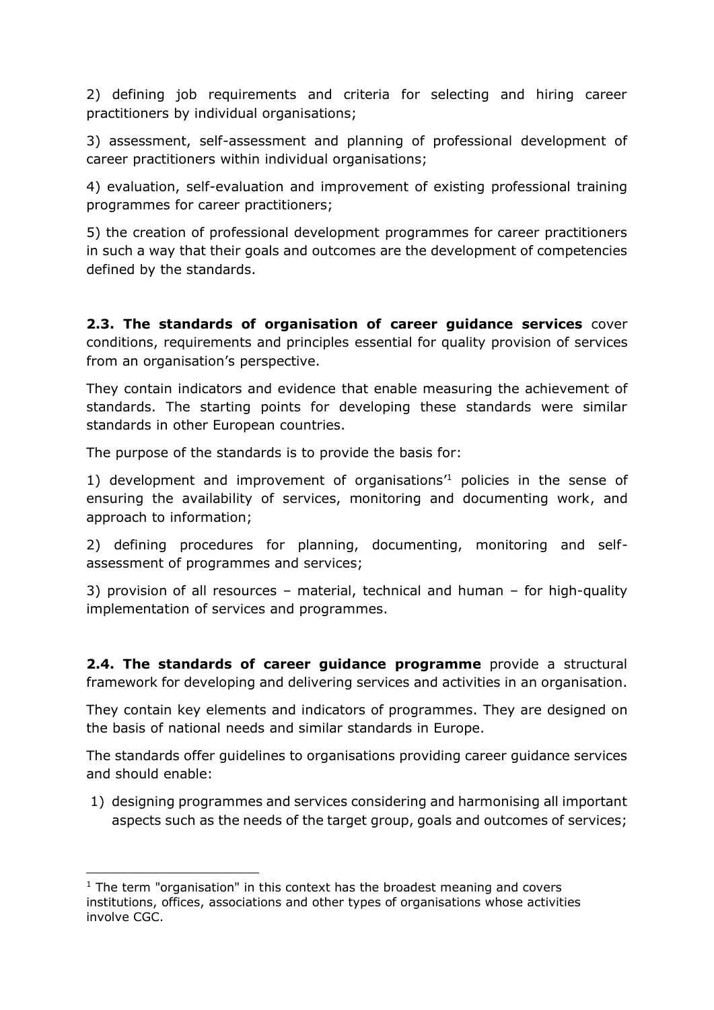2) defining job requirements and criteria for selecting and hiring career practitioners by individual organisations;

3) assessment, self-assessment and planning of professional development of career practitioners within individual organisations;

4) evaluation, self-evaluation and improvement of existing professional training programmes for career practitioners;

5) the creation of professional development programmes for career practitioners in such a way that their goals and outcomes are the development of competencies defined by the standards.

**2.3. The standards of organisation of career guidance services** cover conditions, requirements and principles essential for quality provision of services from an organisation's perspective.

They contain indicators and evidence that enable measuring the achievement of standards. The starting points for developing these standards were similar standards in other European countries.

The purpose of the standards is to provide the basis for:

1) development and improvement of organisations<sup>1</sup> policies in the sense of ensuring the availability of services, monitoring and documenting work, and approach to information;

2) defining procedures for planning, documenting, monitoring and selfassessment of programmes and services;

3) provision of all resources – material, technical and human – for high-quality implementation of services and programmes.

**2.4. The standards of career guidance programme** provide a structural framework for developing and delivering services and activities in an organisation.

They contain key elements and indicators of programmes. They are designed on the basis of national needs and similar standards in Europe.

The standards offer guidelines to organisations providing career guidance services and should enable:

1) designing programmes and services considering and harmonising all important aspects such as the needs of the target group, goals and outcomes of services;

 $1$  The term "organisation" in this context has the broadest meaning and covers institutions, offices, associations and other types of organisations whose activities involve CGC.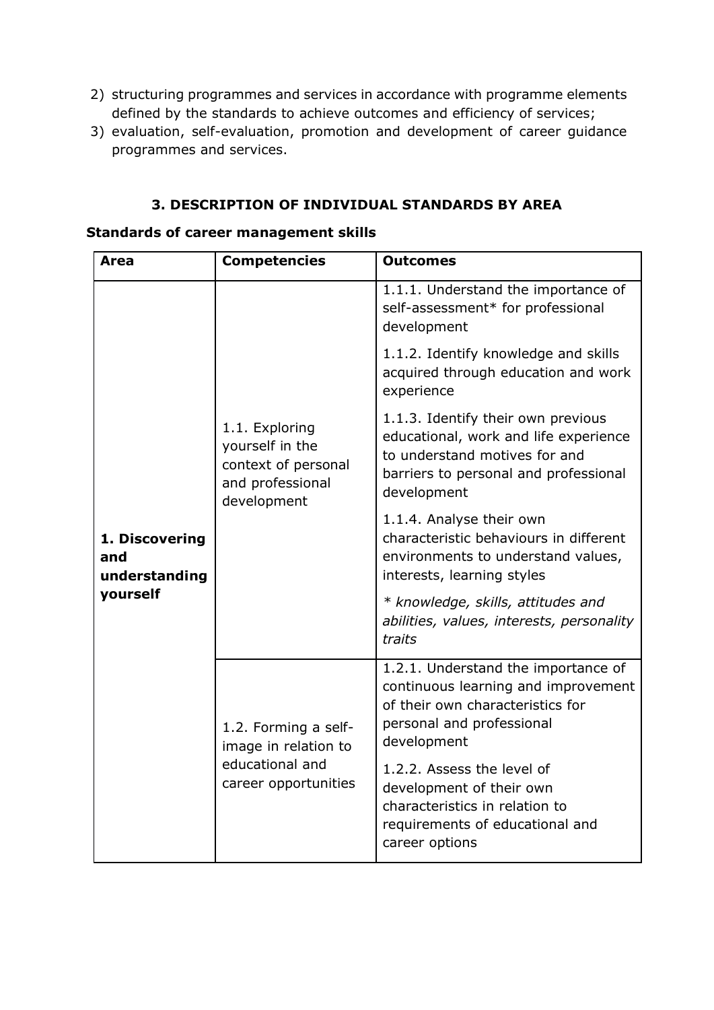- 2) structuring programmes and services in accordance with programme elements defined by the standards to achieve outcomes and efficiency of services;
- 3) evaluation, self-evaluation, promotion and development of career guidance programmes and services.

### **3. DESCRIPTION OF INDIVIDUAL STANDARDS BY AREA**

| <b>Area</b>                            | <b>Competencies</b>                                                                         | <b>Outcomes</b>                                                                                                                                                      |
|----------------------------------------|---------------------------------------------------------------------------------------------|----------------------------------------------------------------------------------------------------------------------------------------------------------------------|
|                                        | 1.1. Exploring<br>yourself in the<br>context of personal<br>and professional<br>development | 1.1.1. Understand the importance of<br>self-assessment* for professional<br>development                                                                              |
|                                        |                                                                                             | 1.1.2. Identify knowledge and skills<br>acquired through education and work<br>experience                                                                            |
| 1. Discovering<br>and<br>understanding |                                                                                             | 1.1.3. Identify their own previous<br>educational, work and life experience<br>to understand motives for and<br>barriers to personal and professional<br>development |
|                                        |                                                                                             | 1.1.4. Analyse their own<br>characteristic behaviours in different<br>environments to understand values,<br>interests, learning styles                               |
| yourself                               |                                                                                             | * knowledge, skills, attitudes and<br>abilities, values, interests, personality<br>traits                                                                            |
|                                        | 1.2. Forming a self-<br>image in relation to<br>educational and<br>career opportunities     | 1.2.1. Understand the importance of<br>continuous learning and improvement<br>of their own characteristics for<br>personal and professional<br>development           |
|                                        |                                                                                             | 1.2.2. Assess the level of<br>development of their own<br>characteristics in relation to<br>requirements of educational and<br>career options                        |

#### **Standards of career management skills**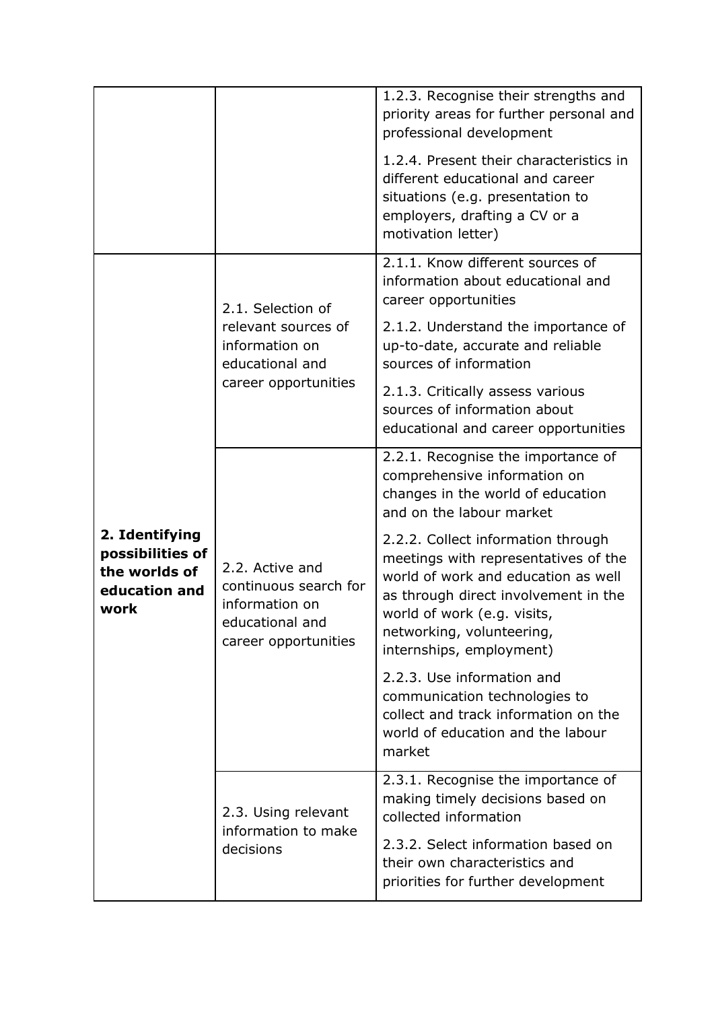|                                                                              |                                                                                                       | 1.2.3. Recognise their strengths and<br>priority areas for further personal and<br>professional development<br>1.2.4. Present their characteristics in<br>different educational and career<br>situations (e.g. presentation to<br>employers, drafting a CV or a<br>motivation letter) |
|------------------------------------------------------------------------------|-------------------------------------------------------------------------------------------------------|---------------------------------------------------------------------------------------------------------------------------------------------------------------------------------------------------------------------------------------------------------------------------------------|
|                                                                              | 2.1. Selection of<br>relevant sources of<br>information on<br>educational and<br>career opportunities | 2.1.1. Know different sources of<br>information about educational and<br>career opportunities<br>2.1.2. Understand the importance of<br>up-to-date, accurate and reliable<br>sources of information                                                                                   |
|                                                                              |                                                                                                       | 2.1.3. Critically assess various<br>sources of information about<br>educational and career opportunities                                                                                                                                                                              |
|                                                                              | 2.2. Active and<br>continuous search for<br>information on<br>educational and<br>career opportunities | 2.2.1. Recognise the importance of<br>comprehensive information on<br>changes in the world of education<br>and on the labour market                                                                                                                                                   |
| 2. Identifying<br>possibilities of<br>the worlds of<br>education and<br>work |                                                                                                       | 2.2.2. Collect information through<br>meetings with representatives of the<br>world of work and education as well<br>as through direct involvement in the<br>world of work (e.g. visits,<br>networking, volunteering,<br>internships, employment)                                     |
|                                                                              |                                                                                                       | 2.2.3. Use information and<br>communication technologies to<br>collect and track information on the<br>world of education and the labour<br>market                                                                                                                                    |
|                                                                              | 2.3. Using relevant<br>information to make<br>decisions                                               | 2.3.1. Recognise the importance of<br>making timely decisions based on<br>collected information<br>2.3.2. Select information based on<br>their own characteristics and<br>priorities for further development                                                                          |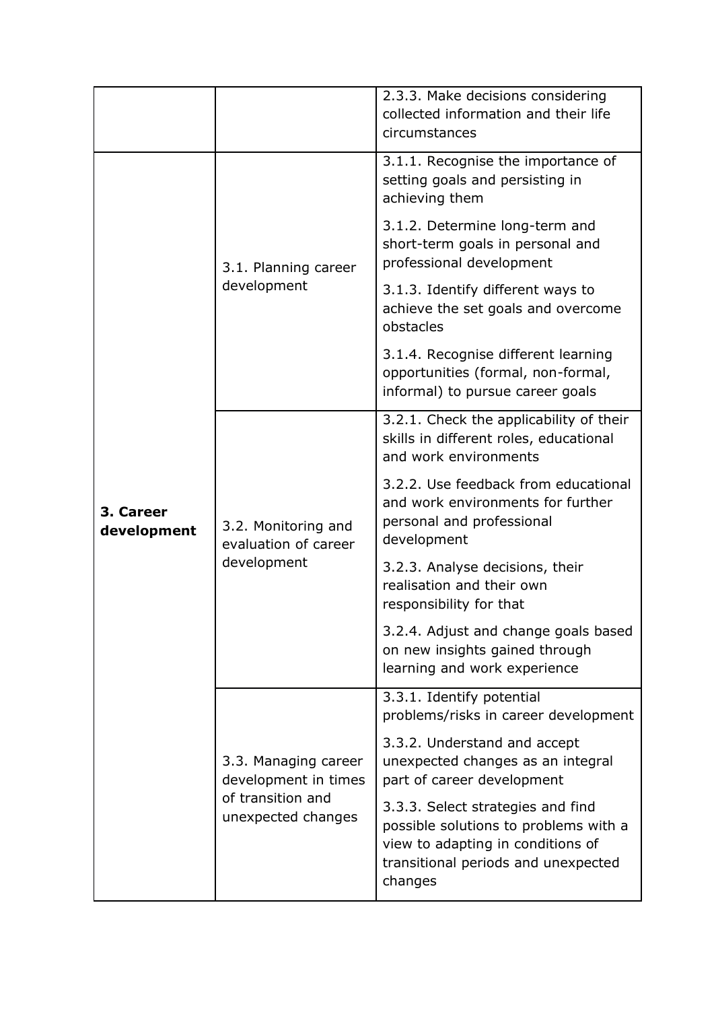|                          |                                                                                         | 2.3.3. Make decisions considering<br>collected information and their life<br>circumstances                                                                        |
|--------------------------|-----------------------------------------------------------------------------------------|-------------------------------------------------------------------------------------------------------------------------------------------------------------------|
|                          | 3.1. Planning career<br>development                                                     | 3.1.1. Recognise the importance of<br>setting goals and persisting in<br>achieving them                                                                           |
|                          |                                                                                         | 3.1.2. Determine long-term and<br>short-term goals in personal and<br>professional development                                                                    |
|                          |                                                                                         | 3.1.3. Identify different ways to<br>achieve the set goals and overcome<br>obstacles                                                                              |
|                          |                                                                                         | 3.1.4. Recognise different learning<br>opportunities (formal, non-formal,<br>informal) to pursue career goals                                                     |
| 3. Career<br>development | 3.2. Monitoring and<br>evaluation of career<br>development                              | 3.2.1. Check the applicability of their<br>skills in different roles, educational<br>and work environments                                                        |
|                          |                                                                                         | 3.2.2. Use feedback from educational<br>and work environments for further<br>personal and professional<br>development                                             |
|                          |                                                                                         | 3.2.3. Analyse decisions, their<br>realisation and their own<br>responsibility for that                                                                           |
|                          |                                                                                         | 3.2.4. Adjust and change goals based<br>on new insights gained through<br>learning and work experience                                                            |
|                          | 3.3. Managing career<br>development in times<br>of transition and<br>unexpected changes | 3.3.1. Identify potential<br>problems/risks in career development                                                                                                 |
|                          |                                                                                         | 3.3.2. Understand and accept<br>unexpected changes as an integral<br>part of career development                                                                   |
|                          |                                                                                         | 3.3.3. Select strategies and find<br>possible solutions to problems with a<br>view to adapting in conditions of<br>transitional periods and unexpected<br>changes |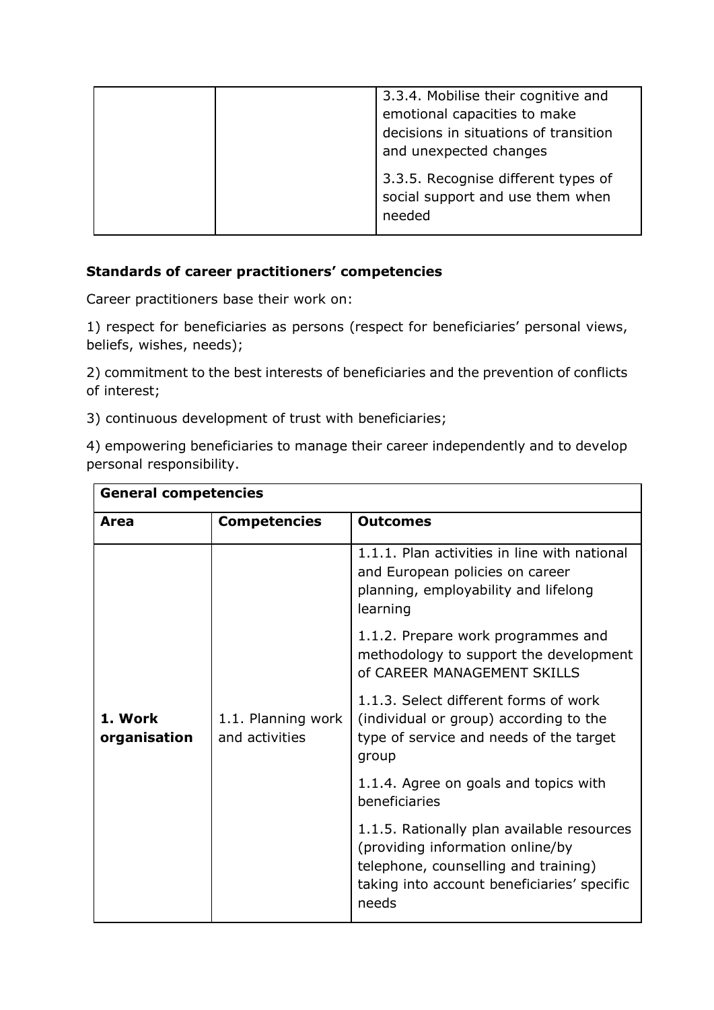| 3.3.4. Mobilise their cognitive and<br>emotional capacities to make<br>decisions in situations of transition<br>and unexpected changes |
|----------------------------------------------------------------------------------------------------------------------------------------|
| 3.3.5. Recognise different types of<br>social support and use them when<br>needed                                                      |

### **Standards of career practitioners' competencies**

Career practitioners base their work on:

1) respect for beneficiaries as persons (respect for beneficiaries' personal views, beliefs, wishes, needs);

2) commitment to the best interests of beneficiaries and the prevention of conflicts of interest;

3) continuous development of trust with beneficiaries;

4) empowering beneficiaries to manage their career independently and to develop personal responsibility.

| <b>General competencies</b> |                                      |                                                                                                                                                                                |
|-----------------------------|--------------------------------------|--------------------------------------------------------------------------------------------------------------------------------------------------------------------------------|
| Area                        | <b>Competencies</b>                  | <b>Outcomes</b>                                                                                                                                                                |
|                             |                                      | 1.1.1. Plan activities in line with national<br>and European policies on career<br>planning, employability and lifelong<br>learning                                            |
|                             |                                      | 1.1.2. Prepare work programmes and<br>methodology to support the development<br>of CAREER MANAGEMENT SKILLS                                                                    |
| 1. Work<br>organisation     | 1.1. Planning work<br>and activities | 1.1.3. Select different forms of work<br>(individual or group) according to the<br>type of service and needs of the target<br>group                                            |
|                             |                                      | 1.1.4. Agree on goals and topics with<br>beneficiaries                                                                                                                         |
|                             |                                      | 1.1.5. Rationally plan available resources<br>(providing information online/by<br>telephone, counselling and training)<br>taking into account beneficiaries' specific<br>needs |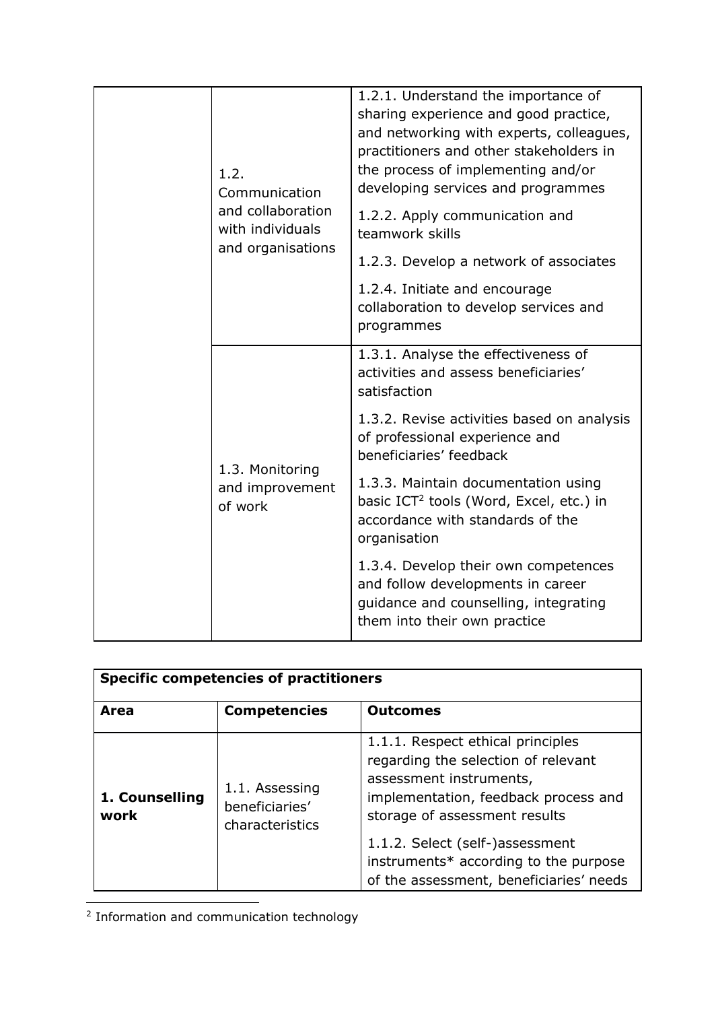|  |                                               | 1.2.<br>Communication<br>and collaboration<br>with individuals<br>and organisations                                                            | 1.2.1. Understand the importance of<br>sharing experience and good practice,<br>and networking with experts, colleagues,<br>practitioners and other stakeholders in<br>the process of implementing and/or<br>developing services and programmes |
|--|-----------------------------------------------|------------------------------------------------------------------------------------------------------------------------------------------------|-------------------------------------------------------------------------------------------------------------------------------------------------------------------------------------------------------------------------------------------------|
|  |                                               |                                                                                                                                                | 1.2.2. Apply communication and<br>teamwork skills                                                                                                                                                                                               |
|  |                                               |                                                                                                                                                | 1.2.3. Develop a network of associates                                                                                                                                                                                                          |
|  |                                               | 1.2.4. Initiate and encourage<br>collaboration to develop services and<br>programmes                                                           |                                                                                                                                                                                                                                                 |
|  |                                               |                                                                                                                                                | 1.3.1. Analyse the effectiveness of<br>activities and assess beneficiaries'<br>satisfaction                                                                                                                                                     |
|  |                                               | 1.3.2. Revise activities based on analysis<br>of professional experience and<br>beneficiaries' feedback                                        |                                                                                                                                                                                                                                                 |
|  | 1.3. Monitoring<br>and improvement<br>of work | 1.3.3. Maintain documentation using<br>basic ICT <sup>2</sup> tools (Word, Excel, etc.) in<br>accordance with standards of the<br>organisation |                                                                                                                                                                                                                                                 |
|  |                                               |                                                                                                                                                | 1.3.4. Develop their own competences<br>and follow developments in career<br>guidance and counselling, integrating<br>them into their own practice                                                                                              |
|  |                                               |                                                                                                                                                |                                                                                                                                                                                                                                                 |

| <b>Specific competencies of practitioners</b> |                                                     |                                                                                                                                                                              |
|-----------------------------------------------|-----------------------------------------------------|------------------------------------------------------------------------------------------------------------------------------------------------------------------------------|
| Area                                          | <b>Competencies</b>                                 | <b>Outcomes</b>                                                                                                                                                              |
| 1. Counselling<br>work                        | 1.1. Assessing<br>beneficiaries'<br>characteristics | 1.1.1. Respect ethical principles<br>regarding the selection of relevant<br>assessment instruments,<br>implementation, feedback process and<br>storage of assessment results |
|                                               |                                                     | 1.1.2. Select (self-)assessment<br>instruments* according to the purpose<br>of the assessment, beneficiaries' needs                                                          |

<sup>2</sup> Information and communication technology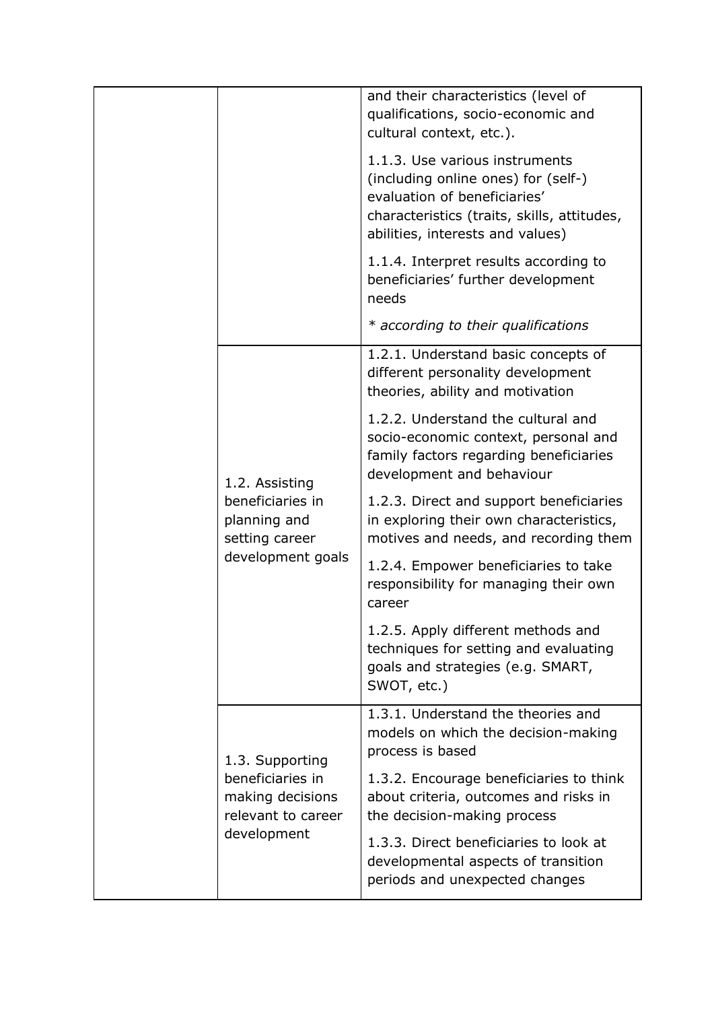|                                                                                              |                                                                                                                 | and their characteristics (level of<br>qualifications, socio-economic and<br>cultural context, etc.).                                                                                    |
|----------------------------------------------------------------------------------------------|-----------------------------------------------------------------------------------------------------------------|------------------------------------------------------------------------------------------------------------------------------------------------------------------------------------------|
|                                                                                              |                                                                                                                 | 1.1.3. Use various instruments<br>(including online ones) for (self-)<br>evaluation of beneficiaries'<br>characteristics (traits, skills, attitudes,<br>abilities, interests and values) |
|                                                                                              |                                                                                                                 | 1.1.4. Interpret results according to<br>beneficiaries' further development<br>needs                                                                                                     |
|                                                                                              |                                                                                                                 | * according to their qualifications                                                                                                                                                      |
|                                                                                              | 1.2. Assisting<br>beneficiaries in<br>planning and<br>setting career<br>development goals                       | 1.2.1. Understand basic concepts of<br>different personality development<br>theories, ability and motivation                                                                             |
|                                                                                              |                                                                                                                 | 1.2.2. Understand the cultural and<br>socio-economic context, personal and<br>family factors regarding beneficiaries<br>development and behaviour                                        |
|                                                                                              |                                                                                                                 | 1.2.3. Direct and support beneficiaries<br>in exploring their own characteristics,<br>motives and needs, and recording them                                                              |
|                                                                                              |                                                                                                                 | 1.2.4. Empower beneficiaries to take<br>responsibility for managing their own<br>career                                                                                                  |
|                                                                                              |                                                                                                                 | 1.2.5. Apply different methods and<br>techniques for setting and evaluating<br>goals and strategies (e.g. SMART,<br>SWOT, etc.)                                                          |
| 1.3. Supporting<br>beneficiaries in<br>making decisions<br>relevant to career<br>development |                                                                                                                 | 1.3.1. Understand the theories and<br>models on which the decision-making<br>process is based                                                                                            |
|                                                                                              |                                                                                                                 | 1.3.2. Encourage beneficiaries to think<br>about criteria, outcomes and risks in<br>the decision-making process                                                                          |
|                                                                                              | 1.3.3. Direct beneficiaries to look at<br>developmental aspects of transition<br>periods and unexpected changes |                                                                                                                                                                                          |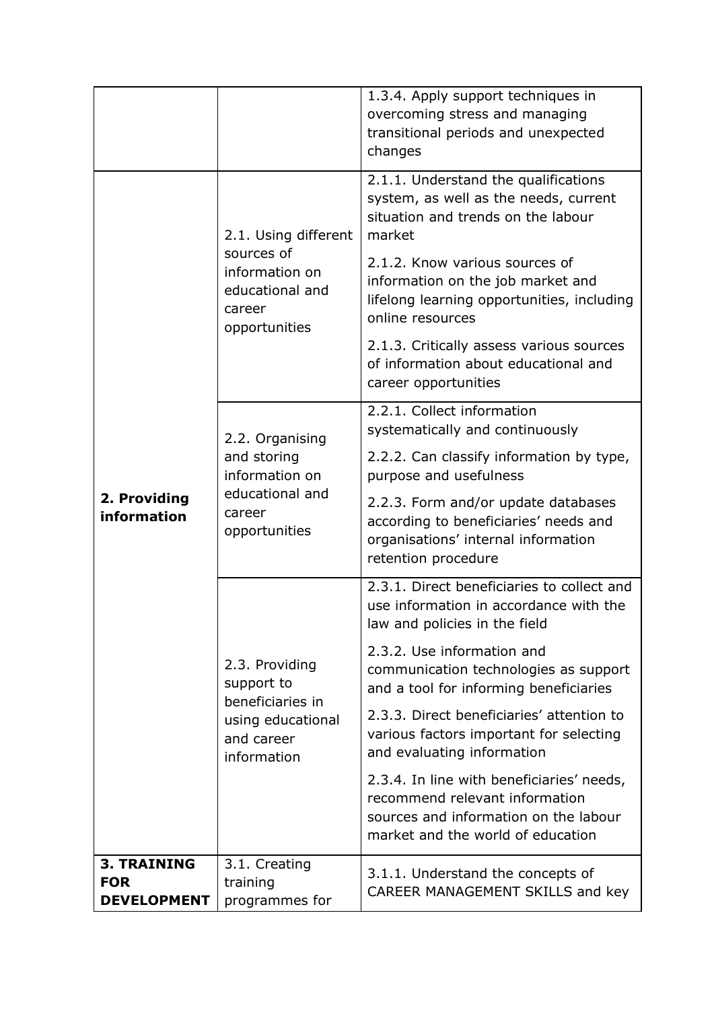|                                  |                                                                                                    | 1.3.4. Apply support techniques in<br>overcoming stress and managing<br>transitional periods and unexpected                                               |  |
|----------------------------------|----------------------------------------------------------------------------------------------------|-----------------------------------------------------------------------------------------------------------------------------------------------------------|--|
|                                  |                                                                                                    | changes                                                                                                                                                   |  |
|                                  | 2.1. Using different<br>sources of<br>information on<br>educational and<br>career<br>opportunities | 2.1.1. Understand the qualifications<br>system, as well as the needs, current<br>situation and trends on the labour<br>market                             |  |
|                                  |                                                                                                    | 2.1.2. Know various sources of<br>information on the job market and<br>lifelong learning opportunities, including<br>online resources                     |  |
|                                  |                                                                                                    | 2.1.3. Critically assess various sources<br>of information about educational and<br>career opportunities                                                  |  |
|                                  | 2.2. Organising                                                                                    | 2.2.1. Collect information<br>systematically and continuously                                                                                             |  |
|                                  | and storing<br>information on                                                                      | 2.2.2. Can classify information by type,<br>purpose and usefulness                                                                                        |  |
| 2. Providing<br>information      | educational and<br>career<br>opportunities                                                         | 2.2.3. Form and/or update databases<br>according to beneficiaries' needs and<br>organisations' internal information<br>retention procedure                |  |
|                                  |                                                                                                    | 2.3.1. Direct beneficiaries to collect and<br>use information in accordance with the<br>law and policies in the field                                     |  |
|                                  | 2.3. Providing<br>support to<br>beneficiaries in<br>using educational<br>and career<br>information | 2.3.2. Use information and<br>communication technologies as support<br>and a tool for informing beneficiaries                                             |  |
|                                  |                                                                                                    | 2.3.3. Direct beneficiaries' attention to<br>various factors important for selecting<br>and evaluating information                                        |  |
|                                  |                                                                                                    | 2.3.4. In line with beneficiaries' needs,<br>recommend relevant information<br>sources and information on the labour<br>market and the world of education |  |
| <b>3. TRAINING</b><br><b>FOR</b> | 3.1. Creating<br>training                                                                          | 3.1.1. Understand the concepts of                                                                                                                         |  |
| <b>DEVELOPMENT</b>               | programmes for                                                                                     | CAREER MANAGEMENT SKILLS and key                                                                                                                          |  |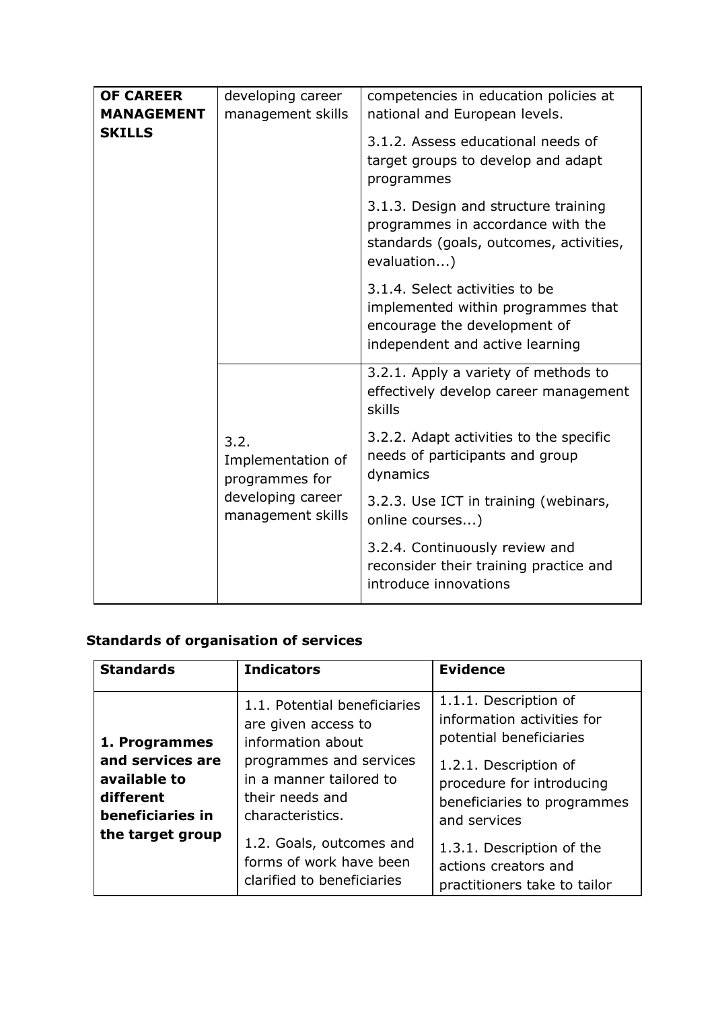| <b>OF CAREER</b><br><b>MANAGEMENT</b> | developing career<br>management skills                                                | competencies in education policies at<br>national and European levels.                                                                  |
|---------------------------------------|---------------------------------------------------------------------------------------|-----------------------------------------------------------------------------------------------------------------------------------------|
| <b>SKILLS</b>                         |                                                                                       | 3.1.2. Assess educational needs of<br>target groups to develop and adapt<br>programmes                                                  |
|                                       |                                                                                       | 3.1.3. Design and structure training<br>programmes in accordance with the<br>standards (goals, outcomes, activities,<br>evaluation)     |
|                                       |                                                                                       | 3.1.4. Select activities to be<br>implemented within programmes that<br>encourage the development of<br>independent and active learning |
|                                       |                                                                                       | 3.2.1. Apply a variety of methods to<br>effectively develop career management<br>skills                                                 |
|                                       | 3.2.<br>Implementation of<br>programmes for<br>developing career<br>management skills | 3.2.2. Adapt activities to the specific<br>needs of participants and group<br>dynamics                                                  |
|                                       |                                                                                       | 3.2.3. Use ICT in training (webinars,<br>online courses)                                                                                |
|                                       |                                                                                       | 3.2.4. Continuously review and<br>reconsider their training practice and<br>introduce innovations                                       |

# **Standards of organisation of services**

| <b>Standards</b>                                                  | <b>Indicators</b>                                                                         | <b>Evidence</b>                                                                                   |
|-------------------------------------------------------------------|-------------------------------------------------------------------------------------------|---------------------------------------------------------------------------------------------------|
| 1. Programmes                                                     | 1.1. Potential beneficiaries<br>are given access to<br>information about                  | 1.1.1. Description of<br>information activities for<br>potential beneficiaries                    |
| and services are<br>available to<br>different<br>beneficiaries in | programmes and services<br>in a manner tailored to<br>their needs and<br>characteristics. | 1.2.1. Description of<br>procedure for introducing<br>beneficiaries to programmes<br>and services |
| the target group                                                  | 1.2. Goals, outcomes and<br>forms of work have been<br>clarified to beneficiaries         | 1.3.1. Description of the<br>actions creators and<br>practitioners take to tailor                 |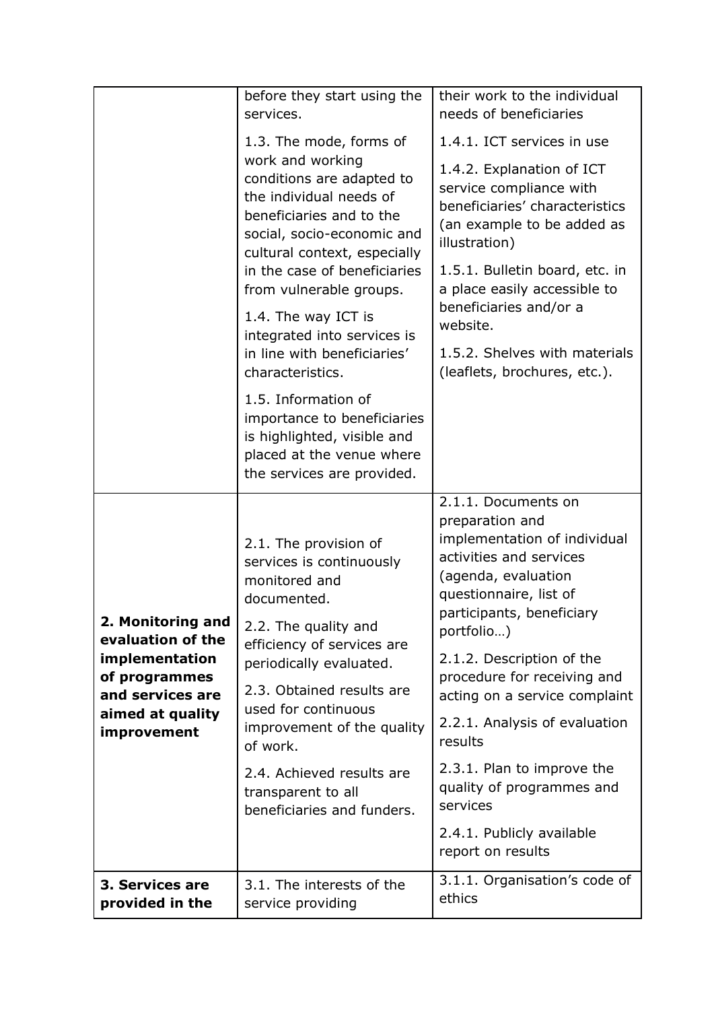|                                                                                                                                  | before they start using the<br>services.                                                                                                                                                                                                                                                                                                          | their work to the individual<br>needs of beneficiaries                                                                                                                                                                                                                                                                                                                                                                                                          |
|----------------------------------------------------------------------------------------------------------------------------------|---------------------------------------------------------------------------------------------------------------------------------------------------------------------------------------------------------------------------------------------------------------------------------------------------------------------------------------------------|-----------------------------------------------------------------------------------------------------------------------------------------------------------------------------------------------------------------------------------------------------------------------------------------------------------------------------------------------------------------------------------------------------------------------------------------------------------------|
|                                                                                                                                  | 1.3. The mode, forms of<br>work and working<br>conditions are adapted to<br>the individual needs of<br>beneficiaries and to the<br>social, socio-economic and<br>cultural context, especially<br>in the case of beneficiaries<br>from vulnerable groups.                                                                                          | 1.4.1. ICT services in use<br>1.4.2. Explanation of ICT<br>service compliance with<br>beneficiaries' characteristics<br>(an example to be added as<br>illustration)<br>1.5.1. Bulletin board, etc. in<br>a place easily accessible to<br>beneficiaries and/or a                                                                                                                                                                                                 |
|                                                                                                                                  | 1.4. The way ICT is<br>integrated into services is<br>in line with beneficiaries'<br>characteristics.                                                                                                                                                                                                                                             | website.<br>1.5.2. Shelves with materials<br>(leaflets, brochures, etc.).                                                                                                                                                                                                                                                                                                                                                                                       |
|                                                                                                                                  | 1.5. Information of<br>importance to beneficiaries<br>is highlighted, visible and<br>placed at the venue where<br>the services are provided.                                                                                                                                                                                                      |                                                                                                                                                                                                                                                                                                                                                                                                                                                                 |
| 2. Monitoring and<br>evaluation of the<br>implementation<br>of programmes<br>and services are<br>aimed at quality<br>improvement | 2.1. The provision of<br>services is continuously<br>monitored and<br>documented.<br>2.2. The quality and<br>efficiency of services are<br>periodically evaluated.<br>2.3. Obtained results are<br>used for continuous<br>improvement of the quality<br>of work.<br>2.4. Achieved results are<br>transparent to all<br>beneficiaries and funders. | 2.1.1. Documents on<br>preparation and<br>implementation of individual<br>activities and services<br>(agenda, evaluation<br>questionnaire, list of<br>participants, beneficiary<br>portfolio)<br>2.1.2. Description of the<br>procedure for receiving and<br>acting on a service complaint<br>2.2.1. Analysis of evaluation<br>results<br>2.3.1. Plan to improve the<br>quality of programmes and<br>services<br>2.4.1. Publicly available<br>report on results |
| 3. Services are<br>provided in the                                                                                               | 3.1. The interests of the<br>service providing                                                                                                                                                                                                                                                                                                    | 3.1.1. Organisation's code of<br>ethics                                                                                                                                                                                                                                                                                                                                                                                                                         |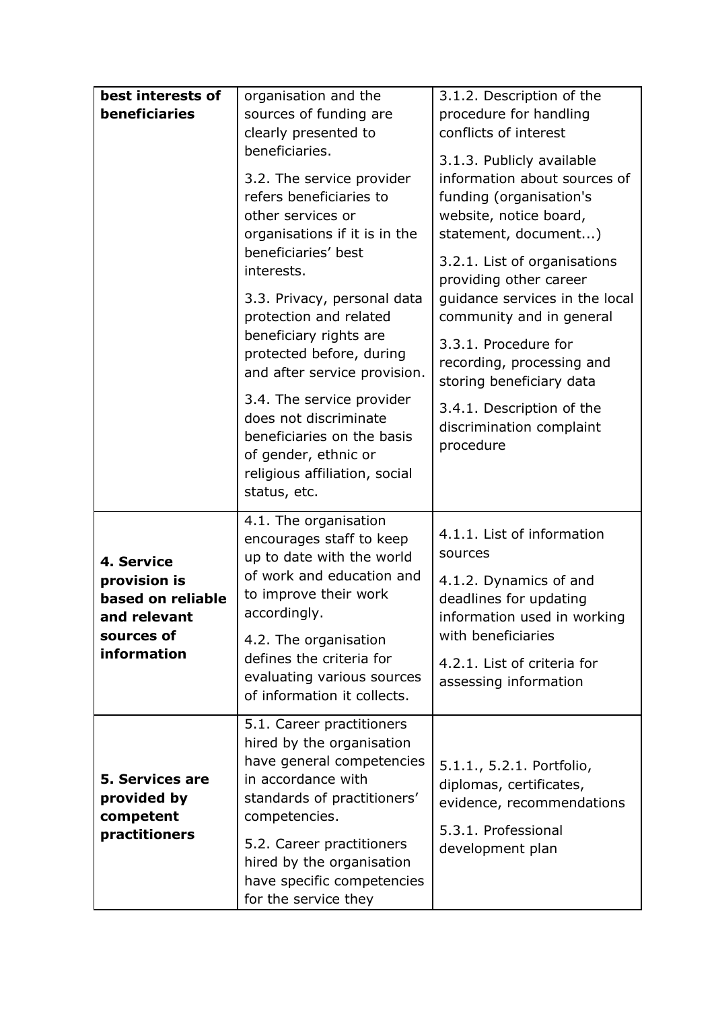| best interests of        | organisation and the                            | 3.1.2. Description of the      |  |
|--------------------------|-------------------------------------------------|--------------------------------|--|
| beneficiaries            | sources of funding are                          | procedure for handling         |  |
|                          | clearly presented to                            | conflicts of interest          |  |
|                          | beneficiaries.                                  |                                |  |
|                          |                                                 | 3.1.3. Publicly available      |  |
|                          | 3.2. The service provider                       | information about sources of   |  |
|                          | refers beneficiaries to                         | funding (organisation's        |  |
|                          | other services or                               | website, notice board,         |  |
|                          | organisations if it is in the                   | statement, document)           |  |
|                          | beneficiaries' best                             | 3.2.1. List of organisations   |  |
|                          | interests.                                      | providing other career         |  |
|                          | 3.3. Privacy, personal data                     | guidance services in the local |  |
|                          | protection and related                          | community and in general       |  |
|                          | beneficiary rights are                          |                                |  |
|                          | protected before, during                        | 3.3.1. Procedure for           |  |
|                          | and after service provision.                    | recording, processing and      |  |
|                          |                                                 | storing beneficiary data       |  |
|                          | 3.4. The service provider                       | 3.4.1. Description of the      |  |
|                          | does not discriminate                           | discrimination complaint       |  |
|                          | beneficiaries on the basis                      | procedure                      |  |
|                          | of gender, ethnic or                            |                                |  |
|                          | religious affiliation, social                   |                                |  |
|                          | status, etc.                                    |                                |  |
|                          | 4.1. The organisation                           |                                |  |
|                          | encourages staff to keep                        | 4.1.1. List of information     |  |
| 4. Service               | up to date with the world                       | sources                        |  |
| provision is             | of work and education and                       | 4.1.2. Dynamics of and         |  |
| based on reliable        | to improve their work                           | deadlines for updating         |  |
| and relevant             | accordingly.                                    | information used in working    |  |
| sources of               | 4.2. The organisation                           | with beneficiaries             |  |
| information              | defines the criteria for                        | 4.2.1. List of criteria for    |  |
|                          | evaluating various sources                      | assessing information          |  |
|                          | of information it collects.                     |                                |  |
|                          |                                                 |                                |  |
|                          | 5.1. Career practitioners                       |                                |  |
|                          | hired by the organisation                       |                                |  |
| <b>5. Services are</b>   | have general competencies<br>in accordance with | 5.1.1., 5.2.1. Portfolio,      |  |
|                          |                                                 | diplomas, certificates,        |  |
| provided by<br>competent | standards of practitioners'<br>competencies.    | evidence, recommendations      |  |
| practitioners            |                                                 | 5.3.1. Professional            |  |
|                          | 5.2. Career practitioners                       | development plan               |  |
|                          | hired by the organisation                       |                                |  |
|                          | have specific competencies                      |                                |  |
|                          | for the service they                            |                                |  |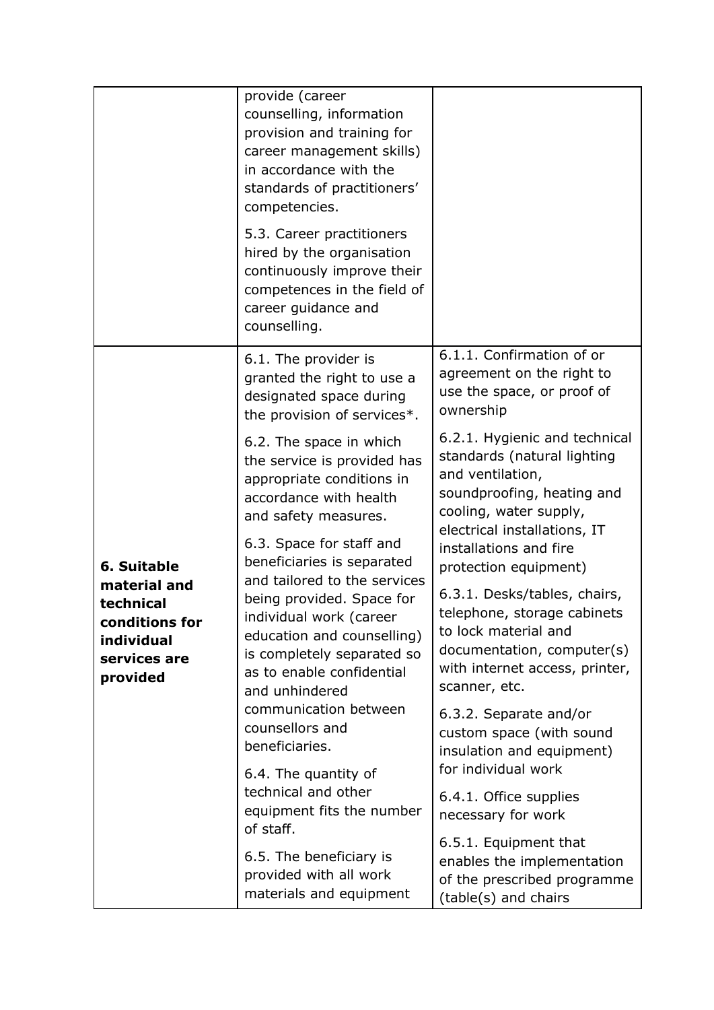|                                                                                                      | provide (career<br>counselling, information<br>provision and training for<br>career management skills)<br>in accordance with the<br>standards of practitioners'<br>competencies.<br>5.3. Career practitioners<br>hired by the organisation<br>continuously improve their<br>competences in the field of<br>career guidance and<br>counselling. |                                                                                                                                                                          |
|------------------------------------------------------------------------------------------------------|------------------------------------------------------------------------------------------------------------------------------------------------------------------------------------------------------------------------------------------------------------------------------------------------------------------------------------------------|--------------------------------------------------------------------------------------------------------------------------------------------------------------------------|
| 6. Suitable<br>material and<br>technical<br>conditions for<br>individual<br>services are<br>provided | 6.1. The provider is<br>granted the right to use a<br>designated space during<br>the provision of services*.                                                                                                                                                                                                                                   | 6.1.1. Confirmation of or<br>agreement on the right to<br>use the space, or proof of<br>ownership                                                                        |
|                                                                                                      | 6.2. The space in which<br>the service is provided has<br>appropriate conditions in<br>accordance with health<br>and safety measures.                                                                                                                                                                                                          | 6.2.1. Hygienic and technical<br>standards (natural lighting<br>and ventilation,<br>soundproofing, heating and<br>cooling, water supply,<br>electrical installations, IT |
|                                                                                                      | 6.3. Space for staff and<br>beneficiaries is separated<br>and tailored to the services                                                                                                                                                                                                                                                         | installations and fire<br>protection equipment)                                                                                                                          |
|                                                                                                      | being provided. Space for<br>individual work (career<br>education and counselling)<br>is completely separated so<br>as to enable confidential<br>and unhindered                                                                                                                                                                                | 6.3.1. Desks/tables, chairs,<br>telephone, storage cabinets<br>to lock material and<br>documentation, computer(s)<br>with internet access, printer,<br>scanner, etc.     |
|                                                                                                      | communication between<br>counsellors and<br>beneficiaries.                                                                                                                                                                                                                                                                                     | 6.3.2. Separate and/or<br>custom space (with sound<br>insulation and equipment)                                                                                          |
|                                                                                                      | 6.4. The quantity of<br>technical and other<br>equipment fits the number<br>of staff.                                                                                                                                                                                                                                                          | for individual work<br>6.4.1. Office supplies<br>necessary for work                                                                                                      |
|                                                                                                      | 6.5. The beneficiary is<br>provided with all work<br>materials and equipment                                                                                                                                                                                                                                                                   | 6.5.1. Equipment that<br>enables the implementation<br>of the prescribed programme<br>(table(s) and chairs                                                               |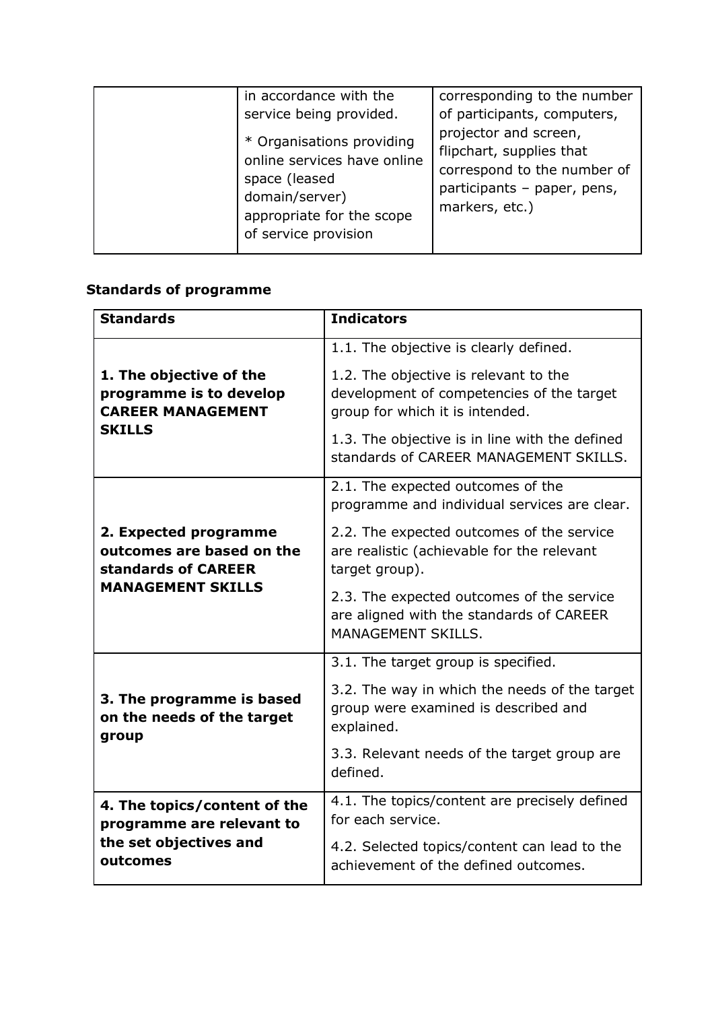| in accordance with the<br>service being provided.<br>* Organisations providing<br>online services have online<br>space (leased<br>domain/server)<br>appropriate for the scope<br>of service provision | corresponding to the number<br>of participants, computers,<br>projector and screen,<br>flipchart, supplies that<br>correspond to the number of<br>participants - paper, pens,<br>markers, etc.) |
|-------------------------------------------------------------------------------------------------------------------------------------------------------------------------------------------------------|-------------------------------------------------------------------------------------------------------------------------------------------------------------------------------------------------|
|-------------------------------------------------------------------------------------------------------------------------------------------------------------------------------------------------------|-------------------------------------------------------------------------------------------------------------------------------------------------------------------------------------------------|

# **Standards of programme**

| <b>Standards</b>                                                                                | <b>Indicators</b>                                                                                                                                                       |
|-------------------------------------------------------------------------------------------------|-------------------------------------------------------------------------------------------------------------------------------------------------------------------------|
|                                                                                                 | 1.1. The objective is clearly defined.                                                                                                                                  |
| 1. The objective of the<br>programme is to develop<br><b>CAREER MANAGEMENT</b><br><b>SKILLS</b> | 1.2. The objective is relevant to the<br>development of competencies of the target<br>group for which it is intended.<br>1.3. The objective is in line with the defined |
|                                                                                                 | standards of CAREER MANAGEMENT SKILLS.                                                                                                                                  |
|                                                                                                 | 2.1. The expected outcomes of the<br>programme and individual services are clear.                                                                                       |
| 2. Expected programme<br>outcomes are based on the<br>standards of CAREER                       | 2.2. The expected outcomes of the service<br>are realistic (achievable for the relevant<br>target group).                                                               |
| <b>MANAGEMENT SKILLS</b>                                                                        | 2.3. The expected outcomes of the service<br>are aligned with the standards of CAREER<br><b>MANAGEMENT SKILLS.</b>                                                      |
|                                                                                                 | 3.1. The target group is specified.                                                                                                                                     |
| 3. The programme is based<br>on the needs of the target<br>group                                | 3.2. The way in which the needs of the target<br>group were examined is described and<br>explained.                                                                     |
|                                                                                                 | 3.3. Relevant needs of the target group are<br>defined.                                                                                                                 |
| 4. The topics/content of the<br>programme are relevant to                                       | 4.1. The topics/content are precisely defined<br>for each service.                                                                                                      |
| the set objectives and<br>outcomes                                                              | 4.2. Selected topics/content can lead to the<br>achievement of the defined outcomes.                                                                                    |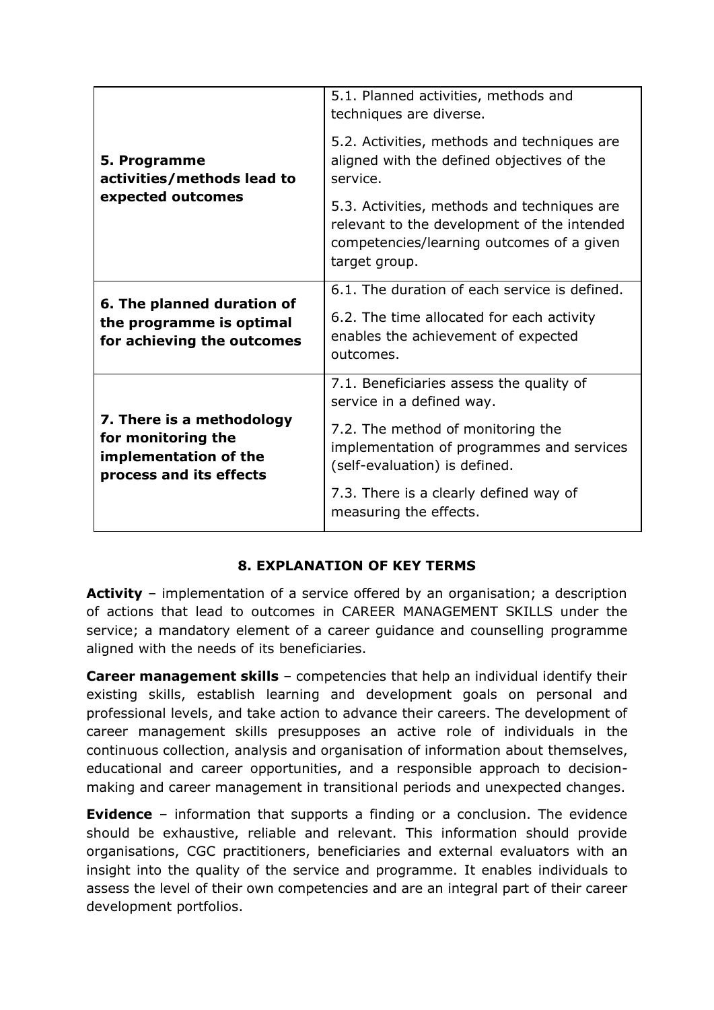|                                                                                                     | 5.1. Planned activities, methods and<br>techniques are diverse.                                                                                                                          |
|-----------------------------------------------------------------------------------------------------|------------------------------------------------------------------------------------------------------------------------------------------------------------------------------------------|
| 5. Programme<br>activities/methods lead to                                                          | 5.2. Activities, methods and techniques are<br>aligned with the defined objectives of the<br>service.                                                                                    |
| expected outcomes                                                                                   | 5.3. Activities, methods and techniques are<br>relevant to the development of the intended<br>competencies/learning outcomes of a given<br>target group.                                 |
| 6. The planned duration of<br>the programme is optimal<br>for achieving the outcomes                | 6.1. The duration of each service is defined.<br>6.2. The time allocated for each activity<br>enables the achievement of expected<br>outcomes.                                           |
| 7. There is a methodology<br>for monitoring the<br>implementation of the<br>process and its effects | 7.1. Beneficiaries assess the quality of<br>service in a defined way.<br>7.2. The method of monitoring the<br>implementation of programmes and services<br>(self-evaluation) is defined. |
|                                                                                                     | 7.3. There is a clearly defined way of<br>measuring the effects.                                                                                                                         |

#### **8. EXPLANATION OF KEY TERMS**

**Activity** – implementation of a service offered by an organisation; a description of actions that lead to outcomes in CAREER MANAGEMENT SKILLS under the service; a mandatory element of a career guidance and counselling programme aligned with the needs of its beneficiaries.

**Career management skills** – competencies that help an individual identify their existing skills, establish learning and development goals on personal and professional levels, and take action to advance their careers. The development of career management skills presupposes an active role of individuals in the continuous collection, analysis and organisation of information about themselves, educational and career opportunities, and a responsible approach to decisionmaking and career management in transitional periods and unexpected changes.

**Evidence** – information that supports a finding or a conclusion. The evidence should be exhaustive, reliable and relevant. This information should provide organisations, CGC practitioners, beneficiaries and external evaluators with an insight into the quality of the service and programme. It enables individuals to assess the level of their own competencies and are an integral part of their career development portfolios.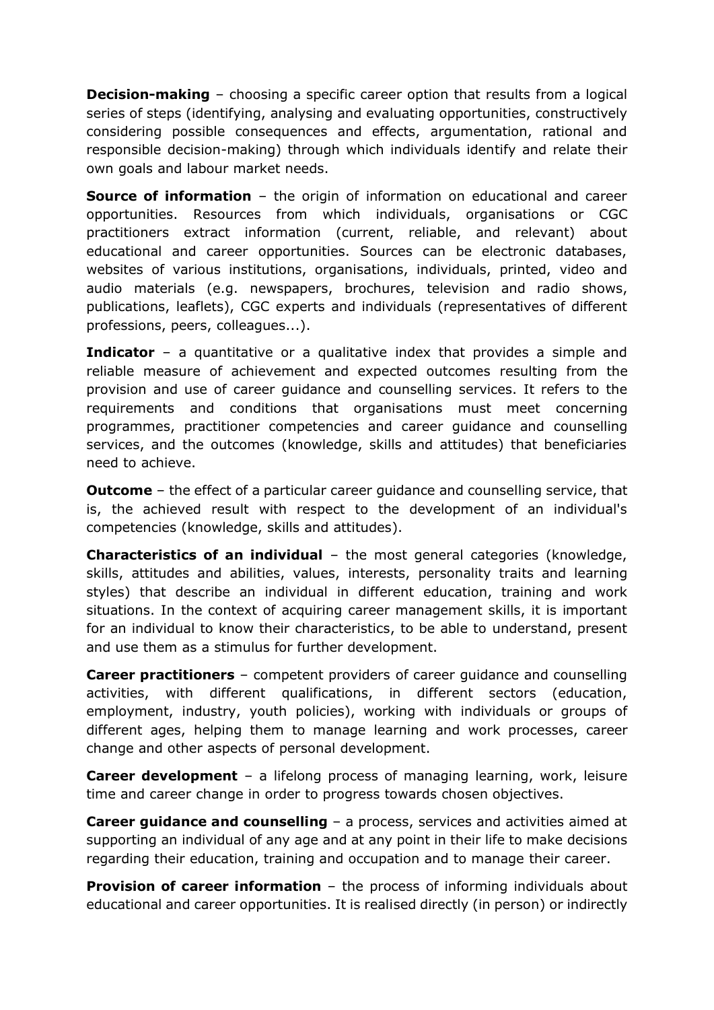**Decision-making** – choosing a specific career option that results from a logical series of steps (identifying, analysing and evaluating opportunities, constructively considering possible consequences and effects, argumentation, rational and responsible decision-making) through which individuals identify and relate their own goals and labour market needs.

**Source of information** – the origin of information on educational and career opportunities. Resources from which individuals, organisations or CGC practitioners extract information (current, reliable, and relevant) about educational and career opportunities. Sources can be electronic databases, websites of various institutions, organisations, individuals, printed, video and audio materials (e.g. newspapers, brochures, television and radio shows, publications, leaflets), CGC experts and individuals (representatives of different professions, peers, colleagues...).

**Indicator** – a quantitative or a qualitative index that provides a simple and reliable measure of achievement and expected outcomes resulting from the provision and use of career guidance and counselling services. It refers to the requirements and conditions that organisations must meet concerning programmes, practitioner competencies and career guidance and counselling services, and the outcomes (knowledge, skills and attitudes) that beneficiaries need to achieve.

**Outcome** – the effect of a particular career guidance and counselling service, that is, the achieved result with respect to the development of an individual's competencies (knowledge, skills and attitudes).

**Characteristics of an individual** – the most general categories (knowledge, skills, attitudes and abilities, values, interests, personality traits and learning styles) that describe an individual in different education, training and work situations. In the context of acquiring career management skills, it is important for an individual to know their characteristics, to be able to understand, present and use them as a stimulus for further development.

**Career practitioners** – competent providers of career guidance and counselling activities, with different qualifications, in different sectors (education, employment, industry, youth policies), working with individuals or groups of different ages, helping them to manage learning and work processes, career change and other aspects of personal development.

**Career development** – a lifelong process of managing learning, work, leisure time and career change in order to progress towards chosen objectives.

**Career guidance and counselling** – a process, services and activities aimed at supporting an individual of any age and at any point in their life to make decisions regarding their education, training and occupation and to manage their career.

**Provision of career information** – the process of informing individuals about educational and career opportunities. It is realised directly (in person) or indirectly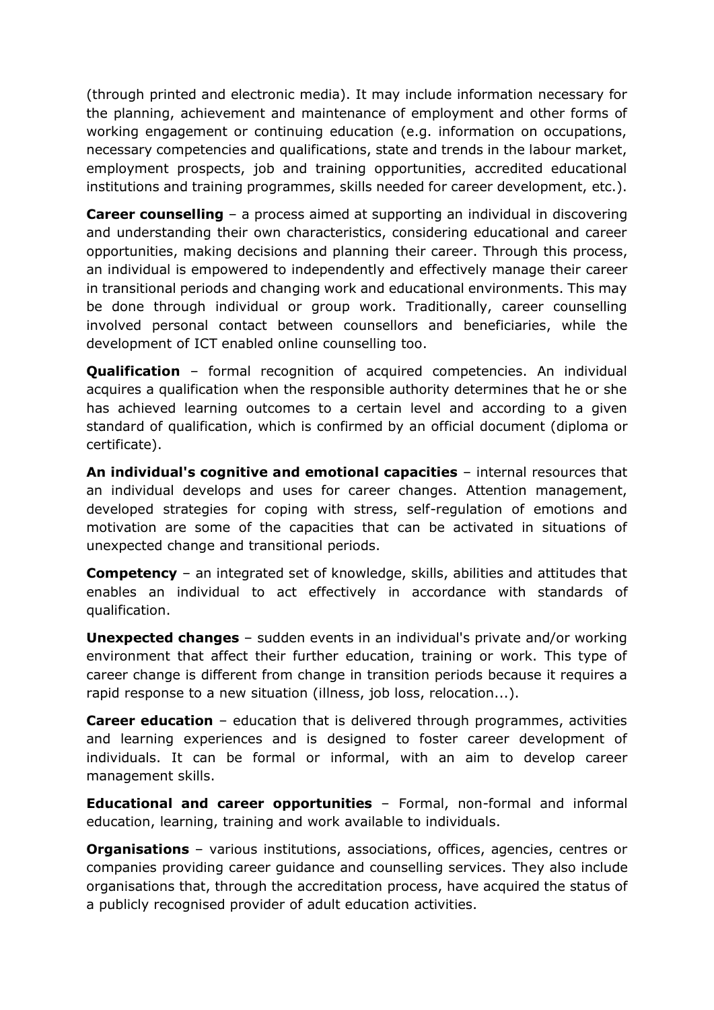(through printed and electronic media). It may include information necessary for the planning, achievement and maintenance of employment and other forms of working engagement or continuing education (e.g. information on occupations, necessary competencies and qualifications, state and trends in the labour market, employment prospects, job and training opportunities, accredited educational institutions and training programmes, skills needed for career development, etc.).

**Career counselling** – a process aimed at supporting an individual in discovering and understanding their own characteristics, considering educational and career opportunities, making decisions and planning their career. Through this process, an individual is empowered to independently and effectively manage their career in transitional periods and changing work and educational environments. This may be done through individual or group work. Traditionally, career counselling involved personal contact between counsellors and beneficiaries, while the development of ICT enabled online counselling too.

**Qualification** – formal recognition of acquired competencies. An individual acquires a qualification when the responsible authority determines that he or she has achieved learning outcomes to a certain level and according to a given standard of qualification, which is confirmed by an official document (diploma or certificate).

**An individual's cognitive and emotional capacities** – internal resources that an individual develops and uses for career changes. Attention management, developed strategies for coping with stress, self-regulation of emotions and motivation are some of the capacities that can be activated in situations of unexpected change and transitional periods.

**Competency** – an integrated set of knowledge, skills, abilities and attitudes that enables an individual to act effectively in accordance with standards of qualification.

**Unexpected changes** – sudden events in an individual's private and/or working environment that affect their further education, training or work. This type of career change is different from change in transition periods because it requires a rapid response to a new situation (illness, job loss, relocation...).

**Career education** – education that is delivered through programmes, activities and learning experiences and is designed to foster career development of individuals. It can be formal or informal, with an aim to develop career management skills.

**Educational and career opportunities** – Formal, non-formal and informal education, learning, training and work available to individuals.

**Organisations** – various institutions, associations, offices, agencies, centres or companies providing career guidance and counselling services. They also include organisations that, through the accreditation process, have acquired the status of a publicly recognised provider of adult education activities.